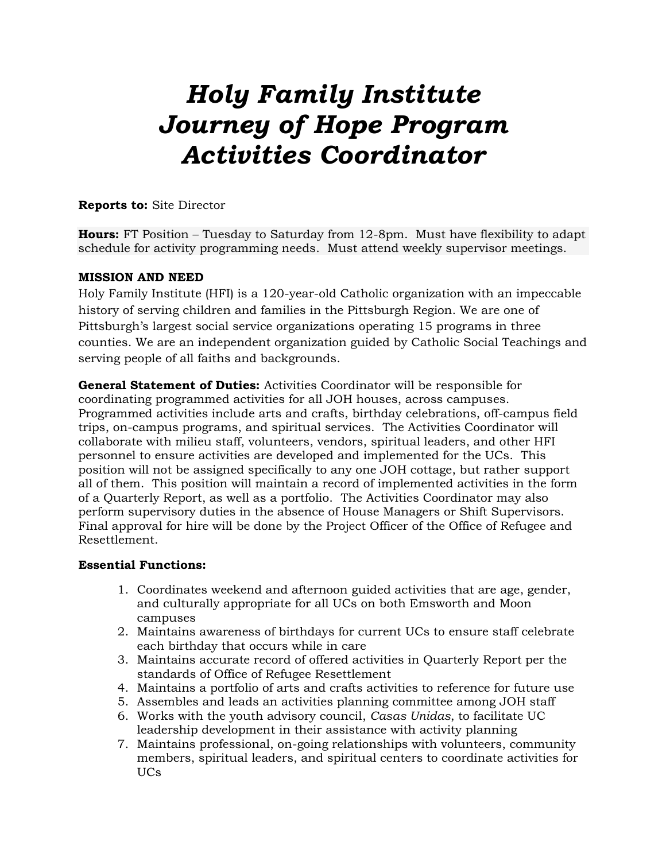# *Holy Family Institute Journey of Hope Program Activities Coordinator*

## **Reports to:** Site Director

**Hours:** FT Position – Tuesday to Saturday from 12-8pm. Must have flexibility to adapt schedule for activity programming needs. Must attend weekly supervisor meetings.

## **MISSION AND NEED**

Holy Family Institute (HFI) is a 120-year-old Catholic organization with an impeccable history of serving children and families in the Pittsburgh Region. We are one of Pittsburgh's largest social service organizations operating 15 programs in three counties. We are an independent organization guided by Catholic Social Teachings and serving people of all faiths and backgrounds.

**General Statement of Duties:** Activities Coordinator will be responsible for coordinating programmed activities for all JOH houses, across campuses. Programmed activities include arts and crafts, birthday celebrations, off-campus field trips, on-campus programs, and spiritual services. The Activities Coordinator will collaborate with milieu staff, volunteers, vendors, spiritual leaders, and other HFI personnel to ensure activities are developed and implemented for the UCs. This position will not be assigned specifically to any one JOH cottage, but rather support all of them. This position will maintain a record of implemented activities in the form of a Quarterly Report, as well as a portfolio. The Activities Coordinator may also perform supervisory duties in the absence of House Managers or Shift Supervisors. Final approval for hire will be done by the Project Officer of the Office of Refugee and Resettlement.

## **Essential Functions:**

- 1. Coordinates weekend and afternoon guided activities that are age, gender, and culturally appropriate for all UCs on both Emsworth and Moon campuses
- 2. Maintains awareness of birthdays for current UCs to ensure staff celebrate each birthday that occurs while in care
- 3. Maintains accurate record of offered activities in Quarterly Report per the standards of Office of Refugee Resettlement
- 4. Maintains a portfolio of arts and crafts activities to reference for future use
- 5. Assembles and leads an activities planning committee among JOH staff
- 6. Works with the youth advisory council, *Casas Unidas*, to facilitate UC leadership development in their assistance with activity planning
- 7. Maintains professional, on-going relationships with volunteers, community members, spiritual leaders, and spiritual centers to coordinate activities for UCs